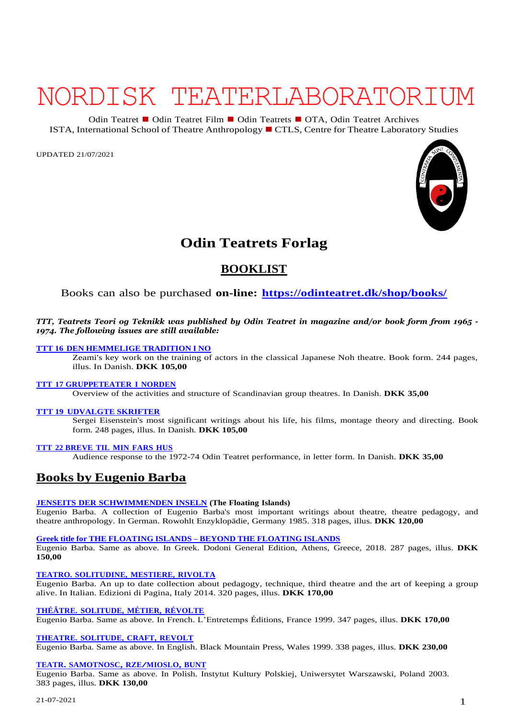# NORDISK TEATERLABORATORIUM

Odin Teatret ◼ Odin Teatret Film ◼ Odin Teatrets ◼ OTA, Odin Teatret Archives ISTA, International School of Theatre Anthropology ◼CTLS, Centre for Theatre Laboratory Studies

UPDATED 21/07/2021



# **Odin Teatrets Forlag**

# **BOOKLIST**

# Books can also be purchased **on-line: <https://odinteatret.dk/shop/books/>**

# TTT, Teatrets Teori og Teknikk was published by Odin Teatret in magazine and/or book form from 1965 -*1974. The following issues are still available:*

# **TTT 16 DEN [HEMMELIGE](https://odinteatret.dk/shop/books/ttt-16-den-hemmelige-tradition-i-no-danish/) TRADITION I NO**

Zeami's key work on the training of actors in the classical Japanese Noh theatre. Book form. 244 pages, illus. In Danish. **DKK 105,00**

# **TTT 17 [GRUPPETEATER](https://odinteatret.dk/shop/books/ttt-17-gruppeteater-i-norden-in-danish/) I NORDEN**

Overview of the activities and structure of Scandinavian group theatres. In Danish. **DKK 35,00**

# **TTT 19 [UDVALGTE](https://odinteatret.dk/shop/books/ttt-19-udvalgte-skrifter-in-danish/) SKRIFTER**

Sergei Eisenstein's most significant writings about his life, his films, montage theory and directing. Book form. 248 pages, illus. In Danish. **DKK 105,00**

# **TTT 22 [BREVE](https://odinteatret.dk/shop/books/ttt-22-breve-til-min-fars-hus-danish/) TIL MIN FARS HUS**

Audience response to the 1972-74 Odin Teatret performance, in letter form. In Danish. **DKK 35,00**

# **Books by Eugenio Barba**

# **JENSEITS DER [SCHWIMMENDEN](https://odinteatret.dk/shop/books/jenseits-der-schwimmenden-inseln-in-german/) INSELN (The Floating Islands)**

Eugenio Barba. A collection of Eugenio Barba's most important writings about theatre, theatre pedagogy, and theatre anthropology. In German. Rowohlt Enzyklopädie, Germany 1985. 318 pages, illus. **DKK 120,00**

**Greek title for THE [FLOATING](https://odinteatret.dk/shop/books/beyond-the-floating-islands-in-greek/) ISLANDS – BEYOND THE FLOATING ISLANDS**

Eugenio Barba. Same as above. In Greek. Dodoni General Edition, Athens, Greece, 2018. 287 pages, illus. **DKK 150,00**

# **TEATRO. [SOLITUDINE,](https://odinteatret.dk/shop/books/teatro-solitudine-mestiere-rivolta-in-italian/) MESTIERE, RIVOLTA**

Eugenio Barba. An up to date collection about pedagogy, technique, third theatre and the art of keeping a group alive. In Italian. Edizioni di Pagina, Italy 2014. 320 pages, illus. **DKK 170,00**

# **THÉÂTRE. [SOLITUDE,](https://odinteatret.dk/shop/books/th%C3%A9%C3%A2tre-solitude-m%C3%A9tier-r%C3%A9volte-in-french/) MÉTIER, RÉVOLTE**

Eugenio Barba. Same as above. In French. L'Entretemps Éditions, France 1999. 347 pages, illus. **DKK 170,00**

# **THEATRE. [SOLITUDE,](https://odinteatret.dk/shop/books/theatre-solitude-craft-revolt-in-english/) CRAFT, REVOLT**

Eugenio Barba. Same as above. In English. Black Mountain Press, Wales 1999. 338 pages, illus. **DKK 230,00**

# **TEATR. SAMOTNOSC, [RZE/MIOSLO,](https://odinteatret.dk/shop/books/teatr-samotnosc-rzemioslo-bunt-in-polish/) BUNT**

Eugenio Barba. Same as above. In Polish. Instytut Kultury Polskiej, Uniwersytet Warszawski, Poland 2003. 383 pages, illus. **DKK 130,00**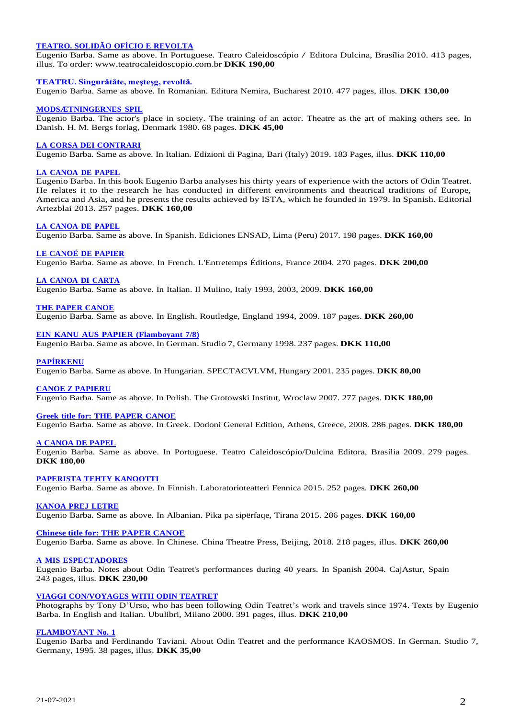# **TEATRO. SOLIDÃO OFÍCIO E REVOLTA**

[Eugenio Barba. Same as above. In Portug](https://odinteatret.dk/shop/books/teatro-solid%C3%A3o-of%C3%ADcio-revolta-in-portuguese-brazil/)uese. Teatro Caleidoscópio / Editora Dulcina, Brasília 2010. 413 pages, illus. To order: [www.teatrocaleidoscopio.com.br](http://www.teatrocaleidoscopio.com.br/) **DKK 190,00**

#### **TEATRU. [Singurǎtǎte,](https://odinteatret.dk/shop/books/teatru-singur%C7%8Et%C7%8Ete-me%C5%9Fte%C5%9Fg-revolt%C7%8E-in-romanian/) meşteşg, revoltǎ***.*

Eugenio Barba. Same as above. In Romanian. Editura Nemira, Bucharest 2010. 477 pages, illus. **DKK 130,00**

#### **[MODSÆTNINGERNES](https://odinteatret.dk/shop/books/modsaetningernes-spil-in-danish/) SPIL**

Eugenio Barba. The actor's place in society. The training of an actor. Theatre as the art of making others see. In Danish. H. M. Bergs forlag, Denmark 1980. 68 pages. **DKK 45,00**

#### **LA CORSA DEI [CONTRARI](https://odinteatret.dk/shop/books/la-corsa-dei-contrari-antropologia-teatrale-in-italian/)**

Eugenio Barba. Same as above. In Italian. Edizioni di Pagina, Bari (Italy) 2019. 183 Pages, illus. **DKK 110,00**

#### **LA [CANOA](https://odinteatret.dk/shop/books/la-canoa-de-papel-in-spanish/) DE PAPEL**

Eugenio Barba. In this book Eugenio Barba analyses his thirty years of experience with the actors of Odin Teatret. He relates it to the research he has conducted in different environments and theatrical traditions of Europe, America and Asia, and he presents the results achieved by ISTA, which he founded in 1979. In Spanish. Editorial Artezblai 2013. 257 pages. **DKK 160,00**

#### **LA [CANOA](https://odinteatret.dk/shop/books/la-canoa-de-papel-in-spanish-peru/) DE PAPEL**

Eugenio Barba. Same as above. In Spanish. Ediciones ENSAD, Lima (Peru) 2017. 198 pages. **DKK 160,00**

#### **LE CANOË DE [PAPIER](https://odinteatret.dk/shop/books/le-cano%C3%AB-de-papier-in-french/)**

Eugenio Barba. Same as above. In French. L'Entretemps Éditions, France 2004. 270 pages. **DKK 200,00**

**LA [CANOA](https://odinteatret.dk/shop/books/la-canoa-di-carta-in-italian-1993-2003-2009/) DI CARTA** Eugenio Barba. Same as above. In Italian. Il Mulino, Italy 1993, 2003, 2009. **DKK 160,00**

#### **THE PAPER [CANOE](https://odinteatret.dk/shop/books/the-paper-canoe-in-english/)**

Eugenio Barba. Same as above. In English. Routledge, England 1994, 2009. 187 pages. **DKK 260,00**

# **EIN KANU AUS PAPIER [\(Flamboyant](https://odinteatret.dk/shop/books/ein-kanu-aus-papier-in-german-flamboyant-78/) 7/8)**

Eugenio Barba. Same as above. In German. Studio 7, Germany 1998. 237 pages. **DKK 110,00**

#### **[PAPÍRKENU](https://odinteatret.dk/shop/books/pap%C3%ADrkenu-in-hungarian/)**

Eugenio Barba. Same as above. In Hungarian. SPECTACVLVM, Hungary 2001. 235 pages. **DKK 80,00**

#### **CANOE Z [PAPIERU](https://odinteatret.dk/shop/books/canoe-z-papieru-in-polish/)**

Eugenio Barba. Same as above. In Polish. The Grotowski Institut, Wroclaw 2007. 277 pages. **DKK 180,00**

#### **Greek title for: THE PAPER [CANOE](https://odinteatret.dk/shop/books/the-paper-canoe-in-greek/)**

Eugenio Barba. Same as above. In Greek. Dodoni General Edition, Athens, Greece, 2008. 286 pages. **DKK 180,00**

#### **A [CANOA](https://odinteatret.dk/shop/books/a-canoa-de-papel-in-portuguese-brazil-2009/) DE PAPEL**

Eugenio Barba. Same as above. In Portuguese. Teatro Caleidoscópio/Dulcina Editora, Brasília 2009. 279 pages. **DKK 180,00**

#### **[PAPERISTA](https://odinteatret.dk/shop/books/paperista-tehty-kanootti-in-finnish/) TEHTY KANOOTTI**

Eugenio Barba. Same as above. In Finnish. Laboratorioteatteri Fennica 2015. 252 pages. **DKK 260,00**

#### **[KANOA](https://odinteatret.dk/shop/books/kanoa-prej-letre-in-albanian/) PREJ LETRE**

Eugenio Barba. Same as above. In Albanian. Pika pa sipërfaqe, Tirana 2015. 286 pages. **DKK 160,00**

#### **Chinese title for: THE PAPER [CANOE](https://odinteatret.dk/shop/books/the-paper-canoe-in-chinese/)**

Eugenio Barba. Same as above. In Chinese. China Theatre Press, Beijing, 2018. 218 pages, illus. **DKK 260,00**

#### **A MIS [ESPECTADORES](https://odinteatret.dk/shop/books/a-mis-espectadores-notas-de-40-a%C3%B1os-de-espect%C3%A1culos-in-spanish/)**

Eugenio Barba. Notes about Odin Teatret's performances during 40 years. In Spanish 2004. CajAstur, Spain 243 pages, illus. **DKK 230,00**

#### **VIAGGI [CON/VOYAGES](https://odinteatret.dk/shop/books/viaggi-con-voyages-with-odin-teatret-in-englishitalian/) WITH ODIN TEATRET**

Photographs by Tony D'Urso, who has been following Odin Teatret's work and travels since 1974. Texts by Eugenio Barba. In English and Italian. Ubulibri, Milano 2000. 391 pages, illus. **DKK 210,00**

#### **[FLAMBOYANT](https://odinteatret.dk/shop/books/flamboyant-no-1-in-german/) No. 1**

Eugenio Barba and Ferdinando Taviani. About Odin Teatret and the performance KAOSMOS. In German. Studio 7, Germany, 1995. 38 pages, illus. **DKK 35,00**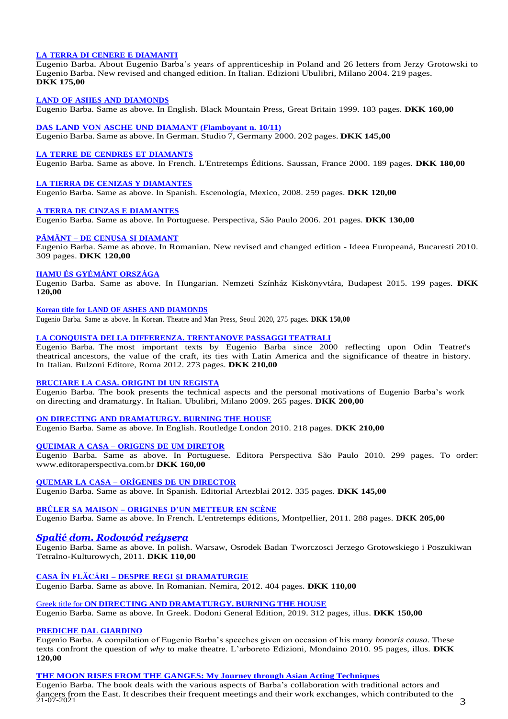# **LA TERRA DI CENERE E [DIAMANTI](https://odinteatret.dk/shop/books/la-terra-di-cenere-e-diamanti-in-italian-2004/)**

Eugenio Barba. About Eugenio Barba's years of apprenticeship in Poland and 26 letters from Jerzy Grotowski to Eugenio Barba. New revised and changed edition. In Italian. Edizioni Ubulibri, Milano 2004. 219 pages. **DKK 175,00**

#### **LAND OF ASHES AND [DIAMONDS](https://odinteatret.dk/shop/books/land-of-ashes-and-diamonds-in-english/)**

Eugenio Barba. Same as above. In English. Black Mountain Press, Great Britain 1999. 183 pages. **DKK 160,00**

#### **DAS LAND VON ASCHE UND DIAMANT [\(Flamboyant](https://odinteatret.dk/shop/books/das-land-von-asche-und-diamant-in-german-flamboyant-no-1011/) n. 10/11)**

Eugenio Barba. Same as above. In German. Studio 7, Germany 2000. 202 pages. **DKK 145,00**

# **LA TERRE DE CENDRES ET [DIAMANTS](https://odinteatret.dk/shop/books/la-terre-de-cendres-et-diamants-in-french/)**

Eugenio Barba. Same as above. In French. L'Entretemps Éditions. Saussan, France 2000. 189 pages. **DKK 180,00**

#### **LA TIERRA DE CENIZAS Y [DIAMANTES](https://odinteatret.dk/shop/books/la-tierra-de-cenizas-y-diamantes-in-spanish-mexico/)**

Eugenio Barba. Same as above. In Spanish*.* Escenología, Mexico, 2008. 259 pages. **DKK 120,00**

# **A TERRA DE CINZAS E [DIAMANTES](https://odinteatret.dk/shop/books/a-terra-de-cinzas-e-diamantes-in-portuguese-brazil/)**

Eugenio Barba. Same as above. In Portuguese. Perspectiva, São Paulo 2006. 201 pages. **DKK 130,00**

# **PÄMÄNT – DE CENUSA SI [DIAMANT](https://odinteatret.dk/shop/books/p%C4%83m%C3%A2nt-de-cenus%C4%83-si-diamant-in-romanian/)**

Eugenio Barba. Same as above. In Romanian. New revised and changed edition - Ideea Europeaná, Bucaresti 2010. 309 pages. **DKK 120,00**

#### **HAMU ÉS [GYÉMÁNT](https://odinteatret.dk/shop/books/hamu-%C3%A9s-gy%C3%A9m%C3%A1nt-orsz%C3%A1ga-in-hungarian/) ORSZÁGA**

Eugenio Barba. Same as above. In Hungarian. Nemzeti Színház Kiskönyvtára, Budapest 2015. 199 pages. **DKK 120,00**

#### **Korean title for LAND OF ASHES AND [DIAMONDS](https://odinteatret.dk/shop/books/land-of-ashes-and-diamonds-in-korean/)**

Eugenio Barba. Same as above. In Korean. Theatre and Man Press, Seoul 2020, 275 pages. **DKK 150,00**

# **LA CONQUISTA DELLA DIFFERENZA. TRENTANOVE PASSAGGI TEATRALI**

Eugenio Barba. The [most important texts by Eugenio Barba since 2000 reflecting upon Odin Teatret's](https://odinteatret.dk/shop/books/bruciare-la-casa-origini-di-un-regista-in-italian/) theatrical [ancestors,](https://odinteatret.dk/shop/books/bruciare-la-casa-origini-di-un-regista-in-italian/) the value of the craft, its ties with Latin America and the significance of theatre in history. In Italian. Bulzoni Editore, Roma 2012. 273 pages. **DKK 210,00**

# **BRUCIARE LA CASA. ORIGINI DI UN REGISTA**

Eugenio Barba. The book presents the [technical](https://odinteatret.dk/shop/books/on-directing-and-dramaturgy-burning-the-house-in-english/) aspects and the personal motivations of Eugenio Barba's work on directing and dramaturgy. In Italian. Ubulibri, Milano 2009. 265 pages. **DKK 200,00**

# **ON DIRECTING AND [DRAMATURGY.](https://odinteatret.dk/shop/books/queimar-a-casa-origens-de-um-diretor-in-portuguese-brazil/) BURNING THE HOUSE**

Eugenio Barba. Same as above. In English. Routledge London 2010. 218 pages. **DKK 210,00**

# **QUEIMAR A CASA – ORIGENS DE UM DIRETOR**

Eugenio Barba. Same as above. In [Portuguese.](https://odinteatret.dk/shop/books/quemar-la-casa-or%C3%ADgenes-de-un-director-in-spanish/) Editora Perspectiva São Paulo 2010. 299 pages. To order: [www.editoraperspectiva.com.br](http://www.editoraperspectiva.com.br/) **DKK 160,00**

# **QUEMAR LA CASA – ORÍGENES DE UN [DIRECTOR](https://odinteatret.dk/shop/books/br%C3%BBler-sa-maison-origines-dun-metteur-en-sc%C3%A8ne-in-french/)**

Eugenio Barba. Same as above. In Spanish. Editorial Artezblai 2012. 335 pages. **DKK 145,00**

# **BRÛLER SA MAISON – [ORIGINES](https://odinteatret.dk/shop/books/spali%C4%87-dom-rodow%C3%B3d-re%C5%BAysera-in-polish/) D'UN METTEUR EN SCÈNE**

Eugenio Barba. Same as above. In French. L'entretemps éditions, Montpellier, 2011. 288 pages. **DKK 205,00**

# *Spalić dom. Rodowód reźysera*

Eugenio Barba. Same as above. In polish. [Warsaw,](https://odinteatret.dk/shop/books/casa-%C3%AEn-fl%C4%83c%C4%83ri-despre-regie-%C8%99i-dramaturgie-in-romanian/) Osrodek Badan Tworczosci Jerzego Grotowskiego i Poszukiwan Tetralno-Kulturowych, 2011. **DKK 110,00**

#### **CASA ÎN FLĂCĂRI – DESPRE REGI** ş**I [DRAMATURGIE](https://odinteatret.dk/shop/books/on-directing-and-dramaturgy-burning-the-house-in-greek/)**

Eugenio Barba. Same as above. In Romanian. Nemira, 2012. 404 pages. **DKK 110,00**

# Greek title for **ON [DIRECTING](https://odinteatret.dk/shop/books/prediche-dal-giardino-in-italian/) AND DRAMATURGY. BURNING THE HOUSE**

Eugenio Barba. Same as above. In Greek. Dodoni General Edition, 2019. 312 pages, illus. **DKK 150,00**

# **PREDICHE DAL GIARDINO**

Eugenio Barba. A compilation of Eugenio Barba's speeches given on occasion of his many *honoris causa.* These texts confront the question of *why* to make theatre. [L'arboreto](https://odinteatret.dk/shop/books/the-moon-rises-from-the-ganges-my-journey-through-asian-acting-techniques-in-english/) Edizioni, Mondaino 2010. 95 pages, illus. **DKK 120,00**

# **THE MOON RISES FROM THE GANGES: My Journey through Asian Acting Techniques**

dancers from the East. It describes their frequent meetings and their work exchanges, which contributed to the  $3\frac{1}{10}$ Eugenio Barba. The book deals with the various aspects of Barba's collaboration with traditional actors and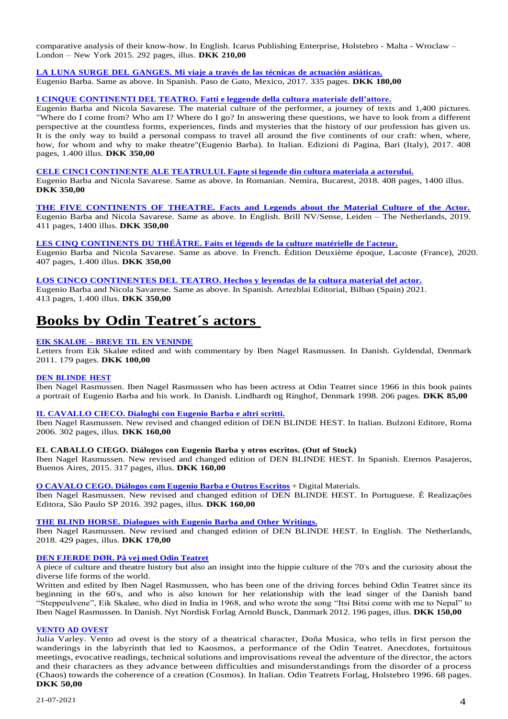comparative analysis of their know-how. In English. Icarus Publishing Enterprise, Holstebro - Malta - Wroclaw – London – New York 2015. 292 pages, illus. **DKK 210,00**

# **LA LUNA SURGE DEL [GANGES.](https://odinteatret.dk/shop/books/la-luna-surge-del-ganges-mi-viaje-a-trav%C3%A9s-de-las-t%C3%A9cnicas-de-actuaci%C3%B3n-asi%C3%A1ticas-in-spanish-mexico/) Mi viaje a través de las técnicas de actuación asiáticas.**

Eugenio Barba. Same as above. In Spanish. Paso de Gato, Mexico, 2017. 335 pages. **DKK 180,00**

# **[I CINQUE CONTINENTI DEL TEATRO.](https://odinteatret.dk/shop/books/i-cinque-continenti-del-teatro-fatti-e-leggende-della-cultura-materiale-dell-attore-in-italian/) Fatti e leggende della cultura materiale dell'attore.**

Eugenio Barba and Nicola Savarese. The material culture of the performer, a journey of texts and 1,400 pictures. "Where do I come from? Who am I? Where do I go? In answering these questions, we have to look from a different perspective at the countless forms, experiences, finds and mysteries that the history of our profession has given us. It is the only way to build a personal compass to travel all around the five continents of our craft: when, where, how, for whom and why to make theatre"(Eugenio Barba). In Italian. Edizioni di Pagina, Bari (Italy), 2017. 408 pages, 1.400 illus. **DKK 350,00**

# **CELE CINCI [CONTINENTE](https://odinteatret.dk/shop/books/cele-cinci-continente-ale-teatrului-fapte-si-legende-din-cultura-materiala-a-actorului-in-romanian/) ALE TEATRULUI. Fapte si legende din cultura materiala a actorului.**

Eugenio Barba and Nicola Savarese. Same as above. In Romanian. Nemira, Bucarest, 2018. 408 pages, 1400 illus. **DKK 350,00**

# **[THE FIVE CONTINENTS OF THEATRE. Facts and Legends about the Material Culture of the Actor.](https://odinteatret.dk/shop/books/the-five-continents-of-theatre-facts-and-legends-about-the-material-culture-of-the-actor-in-english/)**

Eugenio Barba and Nicola Savarese. Same as above. In English. Brill NV/Sense, Leiden – The Netherlands, 2019. 411 pages, 1400 illus. **DKK 350,00**

# **LES CINQ [CONTINENTS](https://odinteatret.dk/shop/books/les-cinq-continets-du-th%C3%A9%C3%A2tre-faits-et-l%C3%A9gends-de-la-culture-mat%C3%A9rielle-de-lacteur-in-french/) DU THÉÂTRE. Faits et légends de la culture matérielle de l'acteur.**

Eugenio Barba and Nicola Savarese. Same as above. In French. Èdition Deuxième époque, Lacoste (France), 2020. 407 pages, 1.400 illus. **DKK 350,00**

**[LOS CINCO CONTINENTES DEL TEATRO. Hechos y leyendas de la cultura material del actor.](https://odinteatret.dk/shop/books/los-cinco-continentes-del-teatro-hechos-y-leyendas-de-la-cultura-material-del-actor/)** Eugenio Barba and Nicola Savarese. Same as above. In Spanish. Artezblai Editorial, Bilbao (Spain) 2021. 413 pages, 1.400 illus. **DKK 350,00**

# **Books by Odin Teatret´s actors**

# **EIK SKALØE – BREVE TIL EN [VENINDE](https://odinteatret.dk/shop/books/eik-skaloee-breve-til-en-veninde-in-danish/)**

Letters from Eik Skaløe edited and with commentary by Iben Nagel Rasmussen. In Danish. Gyldendal, Denmark 2011. 179 pages. **DKK 100,00**

# **DEN [BLINDE](https://odinteatret.dk/shop/books/den-blinde-hest-in-danish/) HEST**

Iben Nagel Rasmussen. Iben Nagel Rasmussen who has been actress at Odin Teatret since 1966 in this book paints a portrait of Eugenio Barba and his work. In Danish. Lindhardt og Ringhof, Denmark 1998. 206 pages. **DKK 85,00**

# **[IL CAVALLO](https://odinteatret.dk/shop/books/il-cavallo-cieco-dialoghi-con-eugenio-barba-e-altri-scritti-in-italian/) CIECO. Dialoghi con Eugenio Barba e altri scritti.**

Iben Nagel Rasmussen. New revised and changed edition of DEN BLINDE HEST. In Italian. Bulzoni Editore, Roma 2006. 302 pages, illus. **DKK 160,00**

# **EL CABALLO CIEGO. Diálogos con Eugenio Barba y otros escritos. (Out of Stock)**

Iben Nagel Rasmussen. New revised and changed edition of DEN BLINDE HEST. In Spanish. Eternos Pasajeros, Buenos Aires, 2015. 317 pages, illus. **DKK 160,00**

#### **O [CAVALO](https://odinteatret.dk/shop/books/o-cavalo-cego-di%C3%A1logos-com-eugenio-barba-e-outros-escritos-in-portuguese-brazil/) CEGO. Diálogos com Eugenio Barba e Outros Escritos** + Digital Materials.

Iben Nagel Rasmussen. New revised and changed edition of DEN BLINDE HEST. In Portuguese. É Realizações Editora, São Paulo SP 2016. 392 pages, illus. **DKK 160,00**

# **THE BLIND HORSE. [Dialogues](https://odinteatret.dk/shop/books/the-blind-horse-dialogues-with-eugenio-barba-and-other-writings-in-english/) with Eugenio Barba and Other Writings.**

Iben Nagel Rasmussen. New revised and changed edition of DEN BLINDE HEST. In English. The Netherlands, 2018. 429 pages, illus. **DKK 170,00**

# **DEN [FJERDE](https://odinteatret.dk/shop/books/den-fjerde-doer-in-danish/) DØR. På vej med Odin Teatret**

A piece of culture and theatre history but also an insight into the hippie culture of the 70's and the curiosity about the diverse life forms of the world.

Written and edited by Iben Nagel Rasmussen, who has been one of the driving forces behind Odin Teatret since its beginning in the 60's, and who is also known for her relationship with the lead singer of the Danish band "Steppeulvene", Eik Skaløe, who died in India in 1968, and who wrote the song "Itsi Bitsi come with me to Nepal" to Iben Nagel Rasmussen. In Danish. Nyt Nordisk Forlag Arnold Busck, Danmark 2012. 196 pages, illus. **DKK 150,00**

# **[VENTO](https://odinteatret.dk/shop/books/vento-ad-ovest-in-italian/) AD OVEST**

Julia Varley. Vento ad ovest is the story of a theatrical character, Doña Musica, who tells in first person the wanderings in the labyrinth that led to Kaosmos, a performance of the Odin Teatret. Anecdotes, fortuitous meetings, evocative readings, technical solutions and improvisations reveal the adventure of the director, the actors and their characters as they advance between difficulties and misunderstandings from the disorder of a process (Chaos) towards the coherence of a creation (Cosmos). In Italian. Odin Teatrets Forlag, Holstebro 1996. 68 pages. **DKK 50,00**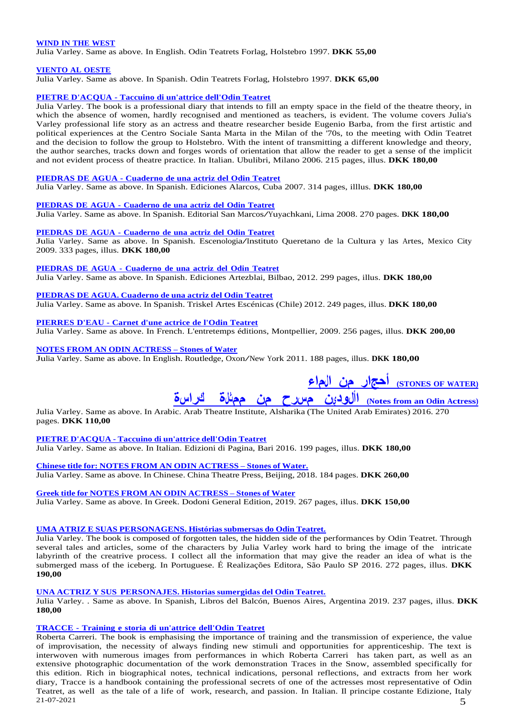### **WIND IN THE [WEST](https://odinteatret.dk/shop/books/wind-in-the-west-in-english/)**

Julia Varley. Same as above. In English. Odin Teatrets Forlag, Holstebro 1997. **DKK 55,00**

#### **[VIENTO](https://odinteatret.dk/shop/books/viento-al-oeste-in-spanish/) AL OESTE**

Julia Varley. Same as above. In Spanish. Odin Teatrets Forlag, Holstebro 1997. **DKK 65,00**

### **PIETRE D'ACQUA - [Taccuino di un'attrice dell'Odin Teatret](https://odinteatret.dk/shop/books/pietre-dacqua-taccuino-di-unattrice-dellodin-teatret-in-italian-2006/)**

Julia Varley. The book is a professional diary that intends to fill an empty space in the field of the theatre theory, in which the absence of women, hardly recognised and mentioned as teachers, is evident. The volume covers Julia's Varley professional life story as an actress and theatre researcher beside Eugenio Barba, from the first artistic and political experiences at the Centro Sociale Santa Marta in the Milan of the '70s, to the meeting with Odin Teatret and the decision to follow the group to Holstebro. With the intent of transmitting a different knowledge and theory, the author searches, tracks down and forges words of orientation that allow the reader to get a sense of the implicit and not evident process of theatre practice. In Italian. Ubulibri, Milano 2006. 215 pages, illus. **DKK 180,00**

#### **[PIEDRAS](https://odinteatret.dk/shop/books/piedras-de-agua-cuaderno-de-una-actriz-del-odin-teatret-in-spanish-cuba-2007/) DE AGUA - Cuaderno de una actriz del Odin Teatret**

Julia Varley. Same as above. In Spanish. Ediciones Alarcos, Cuba 2007. 314 pages, illlus. **DKK 180,00**

**[PIEDRAS](https://odinteatret.dk/shop/books/piedras-de-aqua-cuaderno-de-una-actriz-del-odin-teatret-in-spanish-peru-2008/) DE AGUA - Cuaderno de una actriz del Odin Teatret**

Julia Varley. Same as above. In Spanish. Editorial San Marcos/Yuyachkani, Lima 2008. <sup>270</sup> pages. **DKK 180,00**

**PIEDRAS DE AGUA - Cuaderno de una actriz del Odin Teatret**

Julia Varley. Same as above. In Spanish. E[s](https://odinteatret.dk/shop/books/piedras-de-agua-cuaderno-de-una-actriz-del-odin-teatret-in-spanish-mexico-2009/)ce[n](https://odinteatret.dk/shop/books/piedras-de-agua-cuaderno-de-una-actriz-del-odin-teatret-in-spanish-mexico-2009/)ologi[a/](https://odinteatret.dk/shop/books/piedras-de-agua-cuaderno-de-una-actriz-del-odin-teatret-in-spanish-mexico-2009/)I[nst](https://odinteatret.dk/shop/books/piedras-de-agua-cuaderno-de-una-actriz-del-odin-teatret-in-spanish-mexico-2009/)i[tut](https://odinteatret.dk/shop/books/piedras-de-agua-cuaderno-de-una-actriz-del-odin-teatret-in-spanish-mexico-2009/)o Queretano de la Cultura <sup>y</sup> las Artes, Mexico City 2009. 333 pages, illus. **DKK 180,00**

**[PIEDRAS](https://odinteatret.dk/shop/books/piedras-de-agua-cuaderno-de-una-actriz-del-odin-teatret-in-spanish-spain-2012/) DE AGUA - Cuaderno de una actriz del Odin Teatret** Julia Varley. Same as above. In Spanish. Ediciones Artezblai, Bilbao, 2012. 299 pages, illus. **DKK 180,00**

**[PIEDRAS](https://odinteatret.dk/shop/books/piedras-de-agua-cuaderno-de-una-actriz-del-odin-teatret-in-spanish-chile-2012/) DE AGUA. Cuaderno de una actriz del Odin Teatret** Julia Varley. Same as above. In Spanish. Triskel Artes Escénicas (Chile) 2012. 249 pages, illus. **DKK 180,00**

**[PIERRES](https://odinteatret.dk/shop/books/pierres-deau-carnet-dune-acttrice-de-lodin-teatret-in-french/) D'EAU - Carnet d'une actrice de l'Odin Teatret**

Julia Varley. Same as above. In French. L'entretemps éditions, Montpellier, 2009. 256 pages, illus. **DKK 200,00**

# **NOTES FROM AN ODIN [ACTRESS](https://odinteatret.dk/shop/books/notes-from-an-odin-actress-stones-of-water-in-english/) – Stones of Water**

Julia Varley. Same as above. In English. Routledge, Oxon/New York 2011. <sup>188</sup> pages, illus. **DKK 180,00**

# **(WATER OF STONES ([أحج ا ر من ال م ا ء](https://odinteatret.dk/shop/books/stones-of-water-notes-of-an-odin-actress-in-arabic/)**

# **(Actress Odin an from Notes ([اأ لود ي ن م س رح من ممث ل ة كرا س ة](https://odinteatret.dk/shop/books/stones-of-water-notes-of-an-odin-actress-in-arabic/)**

Julia Varley. Same as above. In Arabic. Arab Theatre Institute, Alsharika (The United Arab Emirates) 2016. 270 pages. **DKK 110,00**

**PIETRE [D'ACQUA](https://odinteatret.dk/shop/books/pietre-dacqua-taccuino-di-unattrice-dellodin-teatret-in-italian-2016/) - Taccuino di un'attrice dell'Odin Teatret** Julia Varley. Same as above. In Italian. Edizioni di Pagina, Bari 2016. 199 pages, illus. **DKK 180,00**

**Chinese title for: NOTES FROM AN ODIN [ACTRESS](https://odinteatret.dk/shop/books/notes-from-an-odin-actress-stones-of-water-in-chinese/) – Stones of Water.** Julia Varley. Same as above. In Chinese. China Theatre Press, Beijing, 2018. 184 pages. **DKK 260,00**

**Greek title for NOTES FROM AN ODIN [ACTRESS](https://odinteatret.dk/shop/books/notes-from-an-odin-actress-stones-of-water-in-greek/) – Stones of Water** Julia Varley. Same as above. In Greek. Dodoni General Edition, 2019. 267 pages, illus. **DKK 150,00**

#### **UMA ATRIZ E SUAS [PERSONAGENS.](https://odinteatret.dk/shop/books/uma-atriz-e-suas-personagens-historias-sumergidas-del-odin-teatret-in-portuguese-brazil-2016/) Histórias submersas do Odin Teatret.**

Julia Varley. The book is composed of forgotten tales, the hidden side of the performances by Odin Teatret. Through several tales and articles, some of the characters by Julia Varley work hard to bring the image of the intricate labyrinth of the creatrive process. I collect all the information that may give the reader an idea of what is the submerged mass of the iceberg. In Portuguese. É Realizações Editora, São Paulo SP 2016. 272 pages, illus. **DKK 190,00**

**UNA ACTRIZ Y SUS [PERSONAJES.](https://odinteatret.dk/shop/books/una-actriz-y-sus-personajes-historias-sumergidas-del-odin-teatret-in-spanish-argentina/) Historias sumergidas del Odin Teatret.**

Julia Varley. . Same as above. In Spanish, Libros del Balcón, Buenos Aires, Argentina 2019. 237 pages, illus. **DKK 180,00**

**[TRACCE](https://odinteatret.dk/shop/books/tracce-training-e-storia-di-unattrice-dellodin-teatret-in-italian-2007/) - Training e storia di un'attrice dell'Odin Teatret**

 $21-07-2021$  5 Roberta Carreri. The book is emphasising the importance of training and the transmission of experience, the value of improvisation, the necessity of always finding new stimuli and opportunities for apprenticeship. The text is interwoven with numerous images from performances in which Roberta Carreri has taken part, as well as an extensive photographic documentation of the work demonstration Traces in the Snow, assembled specifically for this edition. Rich in biographical notes, technical indications, personal reflections, and extracts from her work diary, Tracce is a handbook containing the professional secrets of one of the actresses most representative of Odin Teatret, as well as the tale of a life of work, research, and passion. In Italian. Il principe costante Edizione, Italy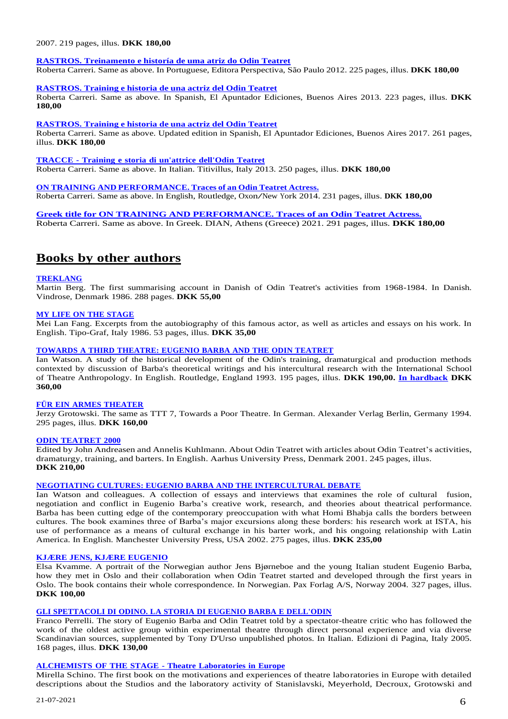# 2007. 219 pages, illus. **DKK 180,00**

# **RASTROS. [Treinamento](https://odinteatret.dk/shop/books/rastros-treinamento-e-histor%C3%ADa-de-uma-atriz-do-odin-teatret-in-portuguese/) e historía de uma atriz do Odin Teatret**

Roberta Carreri. Same as above. In Portuguese, Editora Perspectiva, São Paulo 2012. 225 pages, illus. **DKK 180,00**

#### **[RASTROS.](https://odinteatret.dk/shop/books/rastros-training-e-historia-de-una-actriz-del-odin-teatret-in-spanish/) Training e historia de una actriz del Odin Teatret**

Roberta Carreri. Same as above. In Spanish, El Apuntador Ediciones, Buenos Aires 2013. 223 pages, illus. **DKK 180,00**

#### **[RASTROS.](https://odinteatret.dk/shop/books/rastros-training-e-historia-de-una-actriz-del-odin-teatret-in-spanish/) Training e historia de una actriz del Odin Teatret**

Roberta Carreri. Same as above. Updated edition in Spanish, El Apuntador Ediciones, Buenos Aires 2017. 261 pages, illus. **DKK 180,00**

**[TRACCE](https://odinteatret.dk/shop/books/tracce-training-e-storia-di-unattrice-dellodin-teatret-in-italian-2013/) - Training e storia di un'attrice dell'Odin Teatret** Roberta Carreri. Same as above. In Italian. Titivillus, Italy 2013. 250 pages, illus. **DKK 180,00**

**ON TRAINING AND [PERFORMANCE.](https://odinteatret.dk/shop/books/on-training-and-performance-traces-of-an-odin-teatret-actress-in-english-2014/) Traces of an Odin Teatret Actress.** Roberta Carreri. Same as above. In English, Routledge, Oxon/New York 2014. <sup>231</sup> pages, illus. **DKK 180,00**

**[Greek title for ON TRAINING AND PERFORMANCE. Traces of an Odin Teatret Actress.](https://odinteatret.dk/shop/books/on-training-and-performance-traces-of-an-odin-teatret-actress-in-greek-2021/)** Roberta Carreri. Same as above. In Greek. DIAN, Athens (Greece) 2021. 291 pages, illus. **DKK 180,00**

# **Books by other authors**

# **[TREKLANG](https://odinteatret.dk/shop/books/treklang-%C3%A5r-med-odin-teatret-1968-1984-in-danish/)**

Martin Berg. The first summarising account in Danish of Odin Teatret's activities from 1968-1984. In Danish. Vindrose, Denmark 1986. 288 pages. **DKK 55,00**

# **MY LIFE ON THE [STAGE](https://odinteatret.dk/shop/books/my-life-on-the-stage-in-english/)**

Mei Lan Fang. Excerpts from the autobiography of this famous actor, as well as articles and essays on his work. In English. Tipo-Graf, Italy 1986. 53 pages, illus. **DKK 35,00**

# **TOWARDS A THIRD [THEATRE:](https://odinteatret.dk/shop/books/towards-a-third-theatre-eugenio-barba-and-the-odin-teatret-in-english-pb/) EUGENIO BARBA AND THE ODIN TEATRET**

Ian Watson. A study of the historical development of the Odin's training, dramaturgical and production methods contexted by discussion of Barba's theoretical writings and his intercultural research with the International School of Theatre Anthropology. In English. Routledge, England 1993. 195 pages, illus. **DKK 190,00. [In hardback](https://odinteatret.dk/shop/books/towards-a-third-theatre-eugenio-barba-and-the-odin-teatret-in-english-hb/) DKK 360,00**

# **FÜR EIN ARMES [THEATER](https://odinteatret.dk/shop/books/fuer-ein-armes-theater-in-german/)**

Jerzy Grotowski. The same as TTT 7, Towards a Poor Theatre. In German. Alexander Verlag Berlin, Germany 1994. 295 pages, illus. **DKK 160,00**

#### **ODIN [TEATRET](https://odinteatret.dk/shop/books/odin-teatret-2000-in-english/) 2000**

Edited by John Andreasen and Annelis Kuhlmann. About Odin Teatret with articles about Odin Teatret's activities, dramaturgy, training, and barters. In English. Aarhus University Press, Denmark 2001. 245 pages, illus. **DKK 210,00**

#### **NEGOTIATING CULTURES: EUGENIO BARBA AND THE [INTERCULTURAL](https://odinteatret.dk/shop/books/negotiating-cultures-eugenio-barba-and-the-intercultural-debate-in-english/) DEBATE**

Ian Watson and colleagues. A collection of essays and interviews that examines the role of cultural fusion, negotiation and conflict in Eugenio Barba's creative work, research, and theories about theatrical performance. Barba has been cutting edge of the contemporary preoccupation with what Homi Bhabja calls the borders between cultures. The book examines three of Barba's major excursions along these borders: his research work at ISTA, his use of performance as a means of cultural exchange in his barter work, and his ongoing relationship with Latin America. In English. Manchester University Press, USA 2002. 275 pages, illus. **DKK 235,00**

# **KJÆRE JENS, KJÆRE [EUGENIO](https://odinteatret.dk/shop/books/kjaere-jens-kjaere-eugenio-in-norwegian/)**

Elsa Kvamme. A portrait of the Norwegian author Jens Bjørneboe and the young Italian student Eugenio Barba, how they met in Oslo and their collaboration when Odin Teatret started and developed through the first years in Oslo. The book contains their whole correspondence. In Norwegian. Pax Forlag A/S, Norway 2004. 327 pages, illus. **DKK 100,00**

# **GLI [SPETTACOLI](https://odinteatret.dk/shop/books/gli-spettacoli-di-odino-la-storia-di-eugenio-barba-e-dellodin-in-italian/) DI ODINO. LA STORIA DI EUGENIO BARBA E DELL'ODIN**

Franco Perrelli. The story of Eugenio Barba and Odin Teatret told by a spectator-theatre critic who has followed the work of the oldest active group within experimental theatre through direct personal experience and via diverse Scandinavian sources, supplemented by Tony D'Urso unpublished photos. In Italian. Edizioni di Pagina, Italy 2005. 168 pages, illus. **DKK 130,00**

# **[ALCHEMISTS](https://odinteatret.dk/shop/books/alchemists-of-the-stage-theatre-laboratories-in-europe-in-english/) OF THE STAGE - Theatre Laboratories in Europe**

Mirella Schino. The first book on the motivations and experiences of theatre laboratories in Europe with detailed descriptions about the Studios and the laboratory activity of Stanislavski, Meyerhold, Decroux, Grotowski and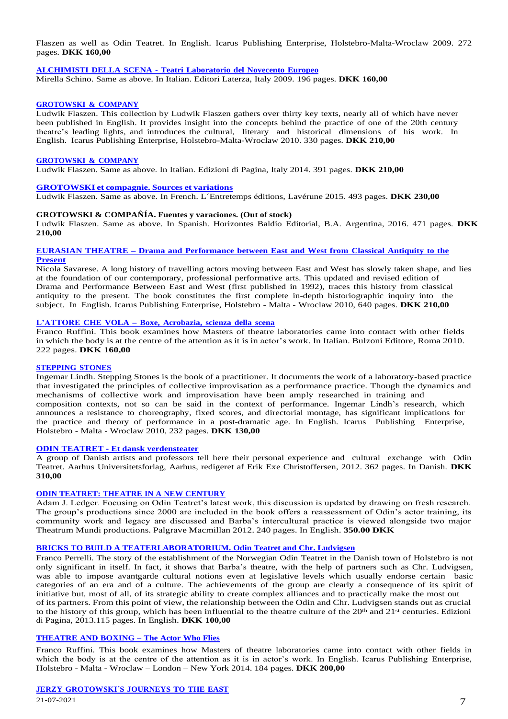Flaszen as well as Odin Teatret. In English. Icarus Publishing Enterprise, Holstebro-Malta-Wroclaw 2009. 272 pages. **DKK 160,00**

# **[ALCHIMISTI](https://odinteatret.dk/shop/books/alchimisti-della-scena-teatri-laboratorio-del-novecento-europeo-in-italian/) DELLA SCENA - Teatri Laboratorio del Novecento Europeo**

Mirella Schino. Same as above. In Italian. Editori Laterza, Italy 2009. 196 pages. **DKK 160,00**

# **[GROTOWSKI](https://odinteatret.dk/shop/books/grotowski-company-in-english/) & COMPANY**

Ludwik Flaszen. This collection by Ludwik Flaszen gathers over thirty key texts, nearly all of which have never been published in English. It provides insight into the concepts behind the practice of one of the 20th century theatre's leading lights, and introduces the cultural, literary and historical dimensions of his work. In English. Icarus Publishing Enterprise, Holstebro-Malta-Wroclaw 2010. 330 pages. **DKK 210,00**

#### **[GROTOWSKI](https://odinteatret.dk/shop/books/grotowski-company-in-italian/) & COMPANY**

Ludwik Flaszen. Same as above. In Italian. Edizioni di Pagina, Italy 2014. 391 pages. **DKK 210,00**

#### **[GROTOWSKI](https://odinteatret.dk/shop/books/grotowski-et-compagnie-sources-et-variations-in-french/) et compagnie. Sources et variations**

Ludwik Flaszen. Same as above. In French. L´Entretemps éditions, Lavérune 2015. 493 pages. **DKK 230,00**

#### **GROTOWSKI & COMPAÑÍA. Fuentes y varaciones. (Out of stock)**

Ludwik Flaszen. Same as above. In Spanish. Horizontes Baldío Editorial, B.A. Argentina, 2016. 471 pages. **DKK 210,00**

#### **EURASIAN THEATRE – Drama and [Performance](https://odinteatret.dk/shop/books/eurasian-theatre-drama-and-performances-between-east-and-west-from-classical-antiquity-to-the-present-in-english/) between East and West from Classical Antiquity to the [Present](https://odinteatret.dk/shop/books/eurasian-theatre-drama-and-performances-between-east-and-west-from-classical-antiquity-to-the-present-in-english/)**

Nicola Savarese. A long history of travelling actors moving between East and West has slowly taken shape, and lies at the foundation of our contemporary, professional performative arts. This updated and revised edition of Drama and Performance Between East and West (first published in 1992), traces this history from classical antiquity to the present. The book constitutes the first complete in-depth historiographic inquiry into the subject. In English. Icarus Publishing Enterprise, Holstebro - Malta - Wroclaw 2010, 640 pages. **DKK 210,00**

# **[L'ATTORE](https://odinteatret.dk/shop/books/l-attore-che-vola-boxe-acrobazia-scienza-della-scena-in-italian/) CHE VOLA – Boxe, Acrobazia, scienza della scena**

Franco Ruffini. This book examines how Masters of theatre laboratories came into contact with other fields in which the body is at the centre of the attention as it is in actor's work. In Italian. Bulzoni Editore, Roma 2010. 222 pages. **DKK 160,00**

# **[STEPPING](https://odinteatret.dk/shop/books/stepping-stones-in-english/) STONES**

Ingemar Lindh. Stepping Stones is the book of a practitioner. It documents the work of a laboratory-based practice that investigated the principles of collective improvisation as a performance practice. Though the dynamics and mechanisms of collective work and improvisation have been amply researched in training and composition contexts, not so can be said in the context of performance. Ingemar Lindh's research, which announces a resistance to choreography, fixed scores, and directorial montage, has significant implications for the practice and theory of performance in a post-dramatic age. In English. Icarus Publishing Enterprise, Holstebro - Malta - Wroclaw 2010, 232 pages. **DKK 130,00**

#### **ODIN TEATRET - Et dansk [verdensteater](https://odinteatret.dk/shop/books/odin-teatret-et-dansk-verdensteater-in-danish/)**

A group of Danish artists and professors tell here their personal experience and cultural exchange with Odin Teatret. Aarhus Universitetsforlag, Aarhus, redigeret af Erik Exe Christoffersen, 2012. 362 pages. In Danish. **DKK 310,00**

# **ODIN [TEATRET:](https://odinteatret.dk/shop/books/odin-teatret-theatre-in-a-new-century-in-english-hb/) THEATRE IN A NEW CENTURY**

Adam J. Ledger. Focusing on Odin Teatret's latest work, this discussion is updated by drawing on fresh research. The group's productions since 2000 are included in the book offers a reassessment of Odin's actor training, its community work and legacy are discussed and Barba's intercultural practice is viewed alongside two major Theatrum Mundi productions. Palgrave Macmillan 2012. 240 pages. In English. **350.00 DKK**

#### **BRICKS TO BUILD A [TEATERLABORATORIUM.](https://odinteatret.dk/shop/books/bricks-to-build-a-teaterlaboratorium-odin-teatret-and-chr-ludvigsen-in-english/) Odin Teatret and Chr. Ludvigsen**

Franco Perrelli. The story of the establishment of the Norwegian Odin Teatret in the Danish town of Holstebro is not only significant in itself. In fact, it shows that Barba's theatre, with the help of partners such as Chr. Ludvigsen, was able to impose avantgarde cultural notions even at legislative levels which usually endorse certain basic categories of an era and of a culture. The achievements of the group are clearly a consequence of its spirit of initiative but, most of all, of its strategic ability to create complex alliances and to practically make the most out of its partners. From this point of view, the relationship between the Odin and Chr. Ludvigsen stands out as crucial to the history of this group, which has been influential to the theatre culture of the 20<sup>th</sup> and 21<sup>st</sup> centuries. Edizioni di Pagina, [2013.115](https://odinteatret.dk/shop/books/theatre-and-boxing-the-actor-who-flies-in-english/) pages. In English. **DKK 100,00**

# **[THEATRE](https://odinteatret.dk/shop/books/theatre-and-boxing-the-actor-who-flies-in-english/) AND BOXING – The Actor Who Flies**

Franco Ruffini. This book examines how Masters of theatre laboratories came into contact with other fields in which the body is at the centre of the attention as it is in actor's work. In English. Icarus Publishing Enterprise, Holstebro - Malta - Wroclaw – London – New York 2014. 184 pages. **DKK 200,00**

# **JERZY [GROTOWSKI´S](https://odinteatret.dk/shop/books/jerzy-grotowskis-journeys-to-the-east-in-english/) JOURNEYS TO THE EAST**

 $21-07-2021$   $7$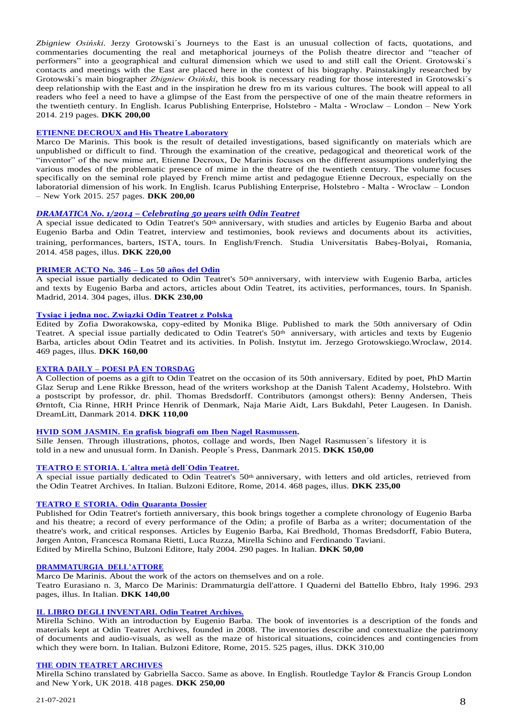*Zbigniew Osiński*. Jerzy Grotowski´s Journeys to the East is an unusual collection of facts, quotations, and commentaries documenting the real and metaphorical journeys of the Polish theatre director and "teacher of performers" into a geographical and cultural dimension which we used to and still call the Orient. Grotowski´s contacts and meetings with the East are placed here in the context of his biography. Painstakingly researched by Grotowski´s main biographer *Zbigniew Osiński*, this book is necessary reading for those interested in Grotowski´s deep relationship with the East and in the inspiration he drew fro m its various cultures. The book will appeal to all readers who feel a need to have a glimpse of the East from the perspective of one of the main theatre reformers in the twentieth century. In English. Icarus Publishing Enterprise, Holstebro - Malta - Wroclaw – London – New York 2014. 219 pages. **DKK 200,00**

# **ETIENNE [DECROUX](https://odinteatret.dk/shop/books/etienne-decroux-and-his-theatre-laboratory-in-english/) and His Theatre Laboratory**

Marco De Marinis. This book is the result of detailed investigations, based significantly on materials which are unpublished or difficult to find. Through the examination of the creative, pedagogical and theoretical work of the "inventor" of the new mime art, Etienne Decroux, De Marinis focuses on the different assumptions underlying the various modes of the problematic presence of mime in the theatre of the twentieth century. The volume focuses specifically on the seminal role played by French mime artist and pedagogue Etienne Decroux, especially on the laboratorial dimension of his work. In English. Icarus Publishing Enterprise, Holstebro - Malta - Wroclaw – London – New York 2015. 257 pages. **DKK 200,00**

# *[DRAMATICA](https://odinteatret.dk/shop/books/dramatica-no-12014-celebrating-50-years-with-odin-teatret-in-englishfrench/) No. 1/2014 – Celebrating 50 years with Odin Teatret*

A special issue dedicated to Odin Teatret's 50th anniversary, with studies and articles by Eugenio Barba and about Eugenio Barba and Odin Teatret, interview and testimonies, book reviews and documents about its activities, training, performances, barters, ISTA, tours. In English/French. [Studia Universitatis Babeş-Bolyai](http://www.cs.ubbcluj.ro/~studia-m/), Romania, 2014. 458 pages, illus. **DKK 220,00**

# **[PRIMER](https://odinteatret.dk/shop/books/primer-acto-no-346-los-50-a%C3%B1os-del-odin-in-spanish/) ACTO No. 346 – Los 50 años del Odin**

A special issue partially dedicated to Odin Teatret's 50<sup>th</sup> anniversary, with interview with Eugenio Barba, articles and texts by Eugenio Barba and actors, articles about Odin Teatret, its activities, performances, tours. In Spanish. Madrid, 2014. 304 pages, illus. **DKK 230,00**

# **Tysiąc i jedna noc. [Związki](https://odinteatret.dk/shop/books/tysi%C4%85c-i-jedna-noc-zwi%C4%85zki-odin-teatret-z-polsk%C4%85-in-polish/) Odin Teatret z Polską**

Edited by Zofia Dworakowska, copy-edited by Monika Blige. Published to mark the 50th anniversary of Odin Teatret. A special issue partially dedicated to Odin Teatret's  $50<sup>th</sup>$  anniversary, with articles and texts by Eugenio Barba, articles about Odin Teatret and its activities. In Polish. Instytut im. Jerzego Grotowskiego.Wroclaw, 2014. 469 pages, illus. **DKK 160,00**

# **EXTRA DAILY – POESI PÅ EN [TORSDAG](https://odinteatret.dk/shop/books/extra-daily-poesi-paa-en-torsdag-in-danish/)**

A Collection of poems as a gift to Odin Teatret on the occasion of its 50th anniversary. Edited by poet, PhD Martin Glaz Serup and Lene Rikke Bresson, head of the writers workshop at the Danish Talent Academy, Holstebro. With a postscript by professor, dr. phil. Thomas Bredsdorff. Contributors (amongst others): Benny Andersen, Theis Ørntoft, Cia Rinne, HRH Prince Henrik of Denmark, Naja Marie Aidt, Lars Bukdahl, Peter Laugesen. In Danish. DreamLitt, Danmark 2014. **DKK 110,00**

# **HVID SOM JASMIN. En grafisk biografi om Iben Nagel [Rasmussen.](https://odinteatret.dk/shop/books/hvid-som-jasmin-en-grafisk-biografi-om-iben-nagel-rasmussen-in-danish/)**

Sille Jensen. Through illustrations, photos, collage and words, Iben Nagel Rasmussen´s lifestory it is told in a new and unusual form. In Danish. People´s Press, Danmark 2015. **DKK 150,00**

# **[TEATRO](https://odinteatret.dk/shop/books/teatro-e-storia-laltra-met%C3%A0-dellodin-in-italian/) E STORIA. L´altra metà dell´Odin Teatret.**

A special issue partially dedicated to Odin Teatret's 50<sup>th</sup> anniversary, with letters and old articles, retrieved from the Odin Teatret Archives. In Italian. Bulzoni Editore, Rome, 2014. 468 pages, illus. **DKK 235,00**

# **[TEATRO](https://odinteatret.dk/shop/books/teatro-e-storia-odin-quaranta-dossier-in-italian/) E STORIA. Odin Quaranta Dossier**

Published for Odin Teatret's fortieth anniversary, this book brings together a complete chronology of Eugenio Barba and his theatre; a record of every performance of the Odin; a profile of Barba as a writer; documentation of the theatre's work, and critical responses. Articles by Eugenio Barba, Kai Bredhold, Thomas Bredsdorff, Fabio Butera, Jørgen Anton, Francesca Romana Rietti, Luca Ruzza, Mirella Schino and Ferdinando Taviani. Edited by Mirella Schino, Bulzoni Editore, Italy 2004. 290 pages. In Italian. **DKK 50,00**

# **[DRAMMATURGIA](https://odinteatret.dk/shop/books/drammaturgia-dellattore-in-italian/) DELL'ATTORE**

Marco De Marinis. About the work of the actors on themselves and on a role.

Teatro Eurasiano n. 3, Marco De Marinis: Drammaturgia dell'attore. I Quaderni del Battello Ebbro, Italy 1996. 293 pages, illus. In Italian. **DKK 140,00**

# **IL LIBRO DEGLI [INVENTARI.](https://odinteatret.dk/shop/books/il-libro-degli-inventari-odin-teatret-archives-in-italian/) Odin Teatret Archives.**

Mirella Schino. With an introduction by Eugenio Barba. The book of inventories is a description of the fonds and materials kept at Odin Teatret Archives, founded in 2008. The inventories describe and contextualize the patrimony of documents and audio-visuals, as well as the maze of historical situations, coincidences and contingencies from which they were born. In Italian. Bulzoni Editore, Rome, 2015. 525 pages, illus. DKK 310,00

# **THE ODIN TEATRET [ARCHIVES](https://odinteatret.dk/shop/books/the-odin-teatret-archives-in-english/)**

Mirella Schino translated by Gabriella Sacco. Same as above. In English. Routledge Taylor & Francis Group London and New York, UK 2018. 418 pages. **DKK 250,00**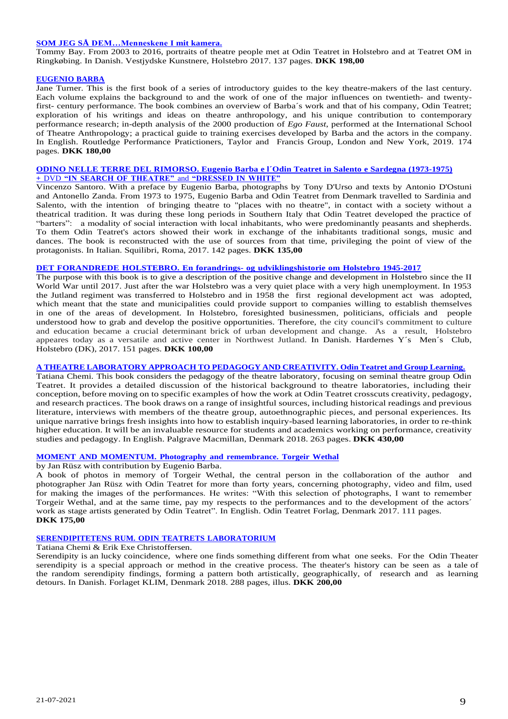### **SOM JEG SÅ [DEM…Menneskene](https://odinteatret.dk/shop/books/som-jeg-saa-dem-menneskene-i-mit-kamera-in-danish/) I mit kamera.**

Tommy Bay. From 2003 to 2016, portraits of theatre people met at Odin Teatret in Holstebro and at Teatret OM in Ringkøbing. In Danish. Vestjydske Kunstnere, Holstebro 2017. 137 pages. **DKK 198,00**

#### **[EUGENIO](https://odinteatret.dk/shop/books/eugenio-barba-in-english-pb/) BARBA**

Jane Turner. This is the first book of a series of introductory guides to the key theatre-makers of the last century. Each volume explains the background to and the work of one of the major influences on twentieth- and twentyfirst- century performance. The book combines an overview of Barba´s work and that of his company, Odin Teatret; exploration of his writings and ideas on theatre anthropology, and his unique contribution to contemporary performance research; in-depth analysis of the 2000 production of *Ego Faust*, performed at the International School of Theatre Anthropology; a practical guide to training exercises developed by Barba and the actors in the company. In English. Routledge Performance Pratictioners, Taylor and Francis Group, London and New York, 2019. 174 pages. **DKK 180,00**

# **ODINO NELLE TERRE DEL [RIMORSO.](https://odinteatret.dk/shop/books/odino-nelle-terre-del-rimorso-in-italian-with-dvd/) Eugenio Barba e l´Odin Teatret in Salento e Sardegna (1973-1975) +** DVD **"IN SEARCH OF [THEATRE"](https://odinteatret.dk/shop/books/odino-nelle-terre-del-rimorso-in-italian-with-dvd/)** and **"DRESSED IN WHITE"**

Vincenzo Santoro. With a preface by Eugenio Barba, photographs by Tony D'Urso and texts by Antonio D'Ostuni and Antonello Zanda. From 1973 to 1975, Eugenio Barba and Odin Teatret from Denmark travelled to Sardinia and Salento, with the intention of bringing theatre to "places with no theatre", in contact with a society without a theatrical tradition. It was during these long periods in Southern Italy that Odin Teatret developed the practice of "barters": a modality of social interaction with local inhabitants, who were predominantly peasants and shepherds. To them Odin Teatret's actors showed their work in exchange of the inhabitants traditional songs, music and dances. The book is reconstructed with the use of sources from that time, privileging the point of view of the protagonists. In Italian. Squilibri, Roma, 2017. 142 pages. **DKK 135,00**

# **DET FORANDREDE HOLSTEBRO. En forandrings- og [udviklingshistorie](https://odinteatret.dk/shop/books/det-forandrede-holstebro-in-danish/) om Holstebro 1945-2017**

The purpose with this book is to give a description of the positive change and development in Holstebro since the II World War until 2017. Just after the war Holstebro was a very quiet place with a very high unemployment. In 1953 the Jutland regiment was transferred to Holstebro and in 1958 the first regional development act was adopted, which meant that the state and municipalities could provide support to companies willing to establish themselves in one of the areas of development. In Holstebro, foresighted businessmen, politicians, officials and people understood how to grab and develop the positive opportunities. Therefore, the city council's commitment to culture and education became a crucial determinant brick of urban development and change. As a result, Holstebro appeares today as a versatile and active center in Northwest Jutland. In Danish. Hardernes Y´s Men´s Club, Holstebro (DK), 2017. 151 pages. **DKK 100,00**

# **A THEATRE [LABORATORY](https://odinteatret.dk/shop/books/a-theatre-laboratory-approach-to-pedagogy-and-creativity-in-english-hb/) APPROACH TO PEDAGOGY AND CREATIVITY. Odin Teatret and Group Learning.**

Tatiana Chemi. This book considers the pedagogy of the theatre laboratory, focusing on seminal theatre group Odin Teatret. It provides a detailed discussion of the historical background to theatre laboratories, including their conception, before moving on to specific examples of how the work at Odin Teatret crosscuts creativity, pedagogy, and research practices. The book draws on a range of insightful sources, including historical readings and previous literature, interviews with members of the theatre group, autoethnographic pieces, and personal experiences. Its unique narrative brings fresh insights into how to establish inquiry-based learning laboratories, in order to re-think higher education. It will be an invaluable resource for students and academics working on performance, creativity studies and pedagogy. In English. Palgrave Macmillan, Denmark 2018. 263 pages. **DKK 430,00**

#### **MOMENT AND [MOMENTUM.](https://odinteatret.dk/shop/books/moment-and-momentum-photography-and-remembrance-torgeir-wethal-in-english/) Photography and remembrance. Torgeir Wethal**

by Jan Rüsz with contribution by Eugenio Barba.

A book of photos in memory of Torgeir Wethal, the central person in the collaboration of the author and photographer Jan Rüsz with Odin Teatret for more than forty years, concerning photography, video and film, used for making the images of the performances. He writes: "With this selection of photographs, I want to remember Torgeir Wethal, and at the same time, pay my respects to the performances and to the development of the actors´ work as stage artists generated by Odin Teatret". In English. Odin Teatret Forlag, Denmark 2017. 111 pages. **DKK 175,00**

#### **[SERENDIPITETENS](https://odinteatret.dk/shop/books/serendipitetens-rum-odin-teatrets-laboratorium-in-danish/) RUM. ODIN TEATRETS LABORATORIUM**

Tatiana Chemi & Erik Exe Christoffersen.

Serendipity is an lucky coincidence, where one finds something different from what one seeks. For the Odin Theater serendipity is a special approach or method in the creative process. The theater's history can be seen as a tale of the random serendipity findings, forming a pattern both artistically, geographically, of research and as learning detours. In Danish. Forlaget KLIM, Denmark 2018. 288 pages, illus. **DKK 200,00**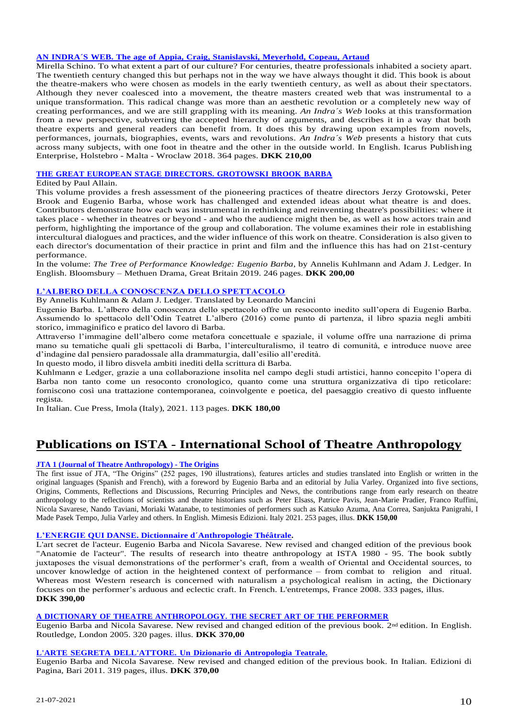# **AN INDRA´S WEB. The age of Appia, Craig, [Stanislavski,](https://odinteatret.dk/shop/books/an-indras-web-in-english/) Meyerhold, Copeau, Artaud**

Mirella Schino. To what extent a part of our culture? For centuries, theatre professionals inhabited a society apart. The twentieth century changed this but perhaps not in the way we have always thought it did. This book is about the theatre-makers who were chosen as models in the early twentieth century, as well as about their spectators. Although they never coalesced into a movement, the theatre masters created web that was instrumental to a unique transformation. This radical change was more than an aesthetic revolution or a completely new way of creating performances, and we are still grappling with its meaning. *An Indra´s Web* looks at this transformation from a new perspective, subverting the accepted hierarchy of arguments, and describes it in a way that both theatre experts and general readers can benefit from. It does this by drawing upon examples from novels, performances, journals, biographies, events, wars and revolutions. *An Indra´s Web* presents a history that cuts across many subjects, with one foot in theatre and the other in the outside world. In English. Icarus Publishing Enterprise, Holstebro - Malta - Wroclaw 2018. 364 pages. **DKK 210,00**

# **THE GREAT EUROPEAN STAGE DIRECTORS. [GROTOWSKI](https://odinteatret.dk/shop/books/the-great-european-stage-directors-vol-5-grotowski-barba-brook/) BROOK BARBA**

Edited by Paul Allain.

This volume provides a fresh assessment of the pioneering practices of theatre directors Jerzy Grotowski, Peter Brook and Eugenio Barba, whose work has challenged and extended ideas about what theatre is and does. Contributors demonstrate how each was instrumental in rethinking and reinventing theatre's possibilities: where it takes place - whether in theatres or beyond - and who the audience might then be, as well as how actors train and perform, highlighting the importance of the group and collaboration. The volume examines their role in establishing intercultural dialogues and practices, and the wider influence of this work on theatre. Consideration is also given to each director's documentation of their practice in print and film and the influence this has had on 21st-century performance.

In the volume: *The Tree of Performance Knowledge: Eugenio Barba*, by Annelis Kuhlmann and Adam J. Ledger. In English. Bloomsbury – Methuen Drama, Great Britain 2019. 246 pages. **DKK 200,00**

# **[L'ALBERO DELLA CONOSCENZA DELLO SPETTACOLO](https://odinteatret.dk/shop/books/eugenio-barba-lalbero-della-conoscenza-dello-spettacolo/)**

By Annelis Kuhlmann & Adam J. Ledger. Translated by Leonardo Mancini

Eugenio Barba. L'albero della conoscenza dello spettacolo offre un resoconto inedito sull'opera di Eugenio Barba. Assumendo lo spettacolo dell'Odin Teatret L'albero (2016) come punto di partenza, il libro spazia negli ambiti storico, immaginifico e pratico del lavoro di Barba.

Attraverso l'immagine dell'albero come metafora concettuale e spaziale, il volume offre una narrazione di prima mano su tematiche quali gli spettacoli di Barba, l'interculturalismo, il teatro di comunità, e introduce nuove aree d'indagine dal pensiero paradossale alla drammaturgia, dall'esilio all'eredità.

In questo modo, il libro disvela ambiti inediti della scrittura di Barba.

Kuhlmann e Ledger, grazie a una collaborazione insolita nel campo degli studi artistici, hanno concepito l'opera di Barba non tanto come un resoconto cronologico, quanto come una struttura organizzativa di tipo reticolare: forniscono così una trattazione contemporanea, coinvolgente e poetica, del paesaggio creativo di questo influente regista.

In Italian. Cue Press, Imola (Italy), 2021. 113 pages. **DKK 180,00**

# **Publications on ISTA - International School of Theatre Anthropology**

# **JTA 1 [\(Journal of Theatre Anthropology\)](https://odinteatret.dk/shop/books/jta-journal-of-theatre-anthropology-number-12021-the-origins-in-english/) - The Origins**

The first issue of JTA, "The Origins" (252 pages, 190 illustrations), features articles and studies translated into English or written in the original languages (Spanish and French), with a foreword by Eugenio Barba and an editorial by Julia Varley. Organized into five sections, Origins, Comments, Reflections and Discussions, Recurring Principles and News, the contributions range from early research on theatre anthropology to the reflections of scientists and theatre historians such as Peter Elsass, Patrice Pavis, Jean-Marie Pradier, Franco Ruffini, Nicola Savarese, Nando Taviani, Moriaki Watanabe, to testimonies of performers such as Katsuko Azuma, Ana Correa, Sanjukta Panigrahi, I Made Pasek Tempo, Julia Varley and others. In English. Mimesis Edizioni. Italy 2021. 253 pages, illus. **DKK 150,00**

# **L'ENERGIE QUI DANSE. Dictionnaire [d´Anthropologie](https://odinteatret.dk/shop/books/lenergie-qui-danse-dictionnaire-danthropologie-th%C3%A9%C3%A3trale-in-french-hb/) Théâtrale.**

L'art secret de l'acteur. Eugenio Barba and Nicola Savarese. New revised and changed edition of the previous book "Anatomie de l'acteur". The results of research into theatre anthropology at ISTA 1980 - 95. The book subtly juxtaposes the visual demonstrations of the performer's craft, from a wealth of Oriental and Occidental sources, to uncover knowledge of action in the heightened context of performance – from combat to religion and ritual. Whereas most Western research is concerned with naturalism a psychological realism in acting, the Dictionary focuses on the performer's arduous and eclectic craft. In French. L'entretemps, France 2008. 333 pages, illus. **DKK 390,00**

# **A DICTIONARY OF THEATRE [ANTHROPOLOGY.](https://odinteatret.dk/shop/books/a-dictionary-of-theatre-anthropology-the-secret-art-of-the-performer-in-english/) THE SECRET ART OF THE PERFORMER**

Eugenio Barba and Nicola Savarese. New revised and changed edition of the previous book. 2nd edition. In English. Routledge, London 2005. 320 pages. illus. **DKK 370,00**

# **L'ARTE SEGRETA [DELL'ATTORE.](https://odinteatret.dk/shop/books/larte-segreta-dellattore-un-dizionario-di-antropologia-teatrale-in-italian/) Un Dizionario di Antropologia Teatrale.**

Eugenio Barba and Nicola Savarese. New revised and changed edition of the previous book. In Italian. Edizioni di Pagina, Bari 2011. 319 pages, illus. **DKK 370,00**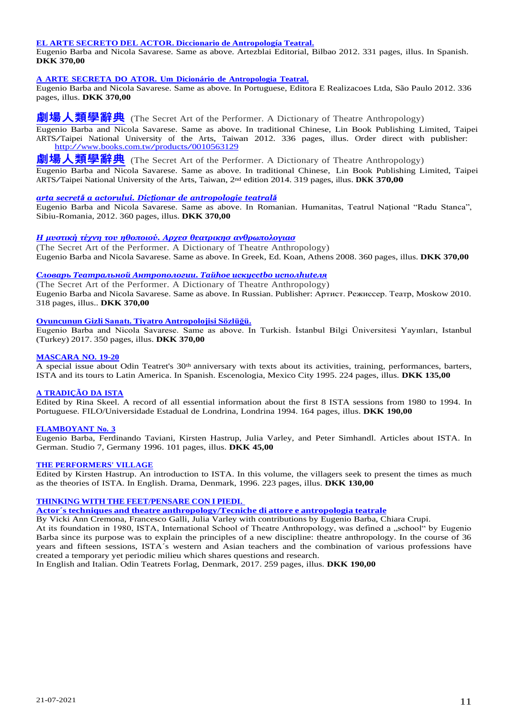#### **EL ARTE SECRETO DEL ACTOR. Diccionario de [Antropología](https://odinteatret.dk/shop/books/el-arte-secreto-del-actor-diccionario-de-antropolog%C3%ADa-teatral-in-spanish/) Teatral.**

Eugenio Barba and Nicola Savarese. Same as above. Artezblai Editorial, Bilbao 2012. 331 pages, illus. In Spanish. **DKK 370,00**

# **A ARTE SECRETA DO ATOR. Um Dicionário de [Antropologia](https://odinteatret.dk/shop/books/a-arte-secreta-do-ator-um-dicion%C3%A1rio-de-antropologia-teatral-in-portuguese/) Teatral.**

Eugenio Barba and Nicola Savarese. Same as above. In Portuguese, Editora E Realizacoes Ltda, São Paulo 2012. 336 pages, illus. **DKK 370,00**

**[劇場人類學辭典](https://odinteatret.dk/shop/books/a-dictionary-of-theatre-anthropology-the-secret-art-of-the-performer-in-chinese/)** (The Secret Art of the [Performer.](http://search.books.com.tw/exep/prod_search.php?cat=all&key=A%20Dictionary%20of%20Theatre%20Anthropology%20The%20Secret%20Art%20of%20the%20Performer) A Dictionary of Theatre Anthropology)

Eugenio Barba and Nicola Savarese. Same as above. In traditional Chinese, Lin Book Publishing Limited, Taipei ARTS/Taipei National University of the Arts, Taiwan 2012. 336 pages, illus. Order direct with publisher: /Taiper National University of the Arts, Taiw<br><http://www.books.com.tw/products/0010563129>

**[劇場人類學辭典](https://odinteatret.dk/shop/books/a-dictionary-of-theatre-anthropology-the-secret-art-of-the-performer-in-chinese/)** (The Secret Art of the [Performer.](http://search.books.com.tw/exep/prod_search.php?cat=all&key=A%20Dictionary%20of%20Theatre%20Anthropology%20The%20Secret%20Art%20of%20the%20Performer) A Dictionary of Theatre Anthropology) Eugenio Barba and Nicola Savarese. Same as above. In traditional Chinese, Lin Book Publishing Limited, Taipei ARTS/Taipei National University of the Arts, Taiwan, <sup>2</sup>nd edition 2014. <sup>319</sup> pages, illus. **DKK 370,00**

#### *arta secretǎ a actorului. Dicționar de [antropologie](https://odinteatret.dk/shop/books/arta-secret%C4%83-actorului-dictionar-de-antropologie-teatral%C4%83-in-romanian/) teatral[ǎ](https://odinteatret.dk/shop/books/arta-secret%C4%83-actorului-dictionar-de-antropologie-teatral%C4%83-in-romanian/)*

Eugenio Barba and Nicola Savarese. Same as above. In Romanian. Humanitas, Teatrul Național "Radu Stanca", Sibiu-Romania, 2012. 360 pages, illus. **DKK 370,00**

# *Η μυστική τέχνη του ηθοποιού. Αρχεσ θεατρικησ [ανθρωπολογιασ](https://odinteatret.dk/shop/books/a-dictionary-of-theatre-anthropology-the-secret-art-of-the-performer-in-greek/)*

(The Secret Art of the [Performer.](http://search.books.com.tw/exep/prod_search.php?cat=all&key=A%20Dictionary%20of%20Theatre%20Anthropology%20The%20Secret%20Art%20of%20the%20Performer) A Dictionary of Theatre Anthropology) Eugenio Barba and Nicola Savarese. Same as above. In Greek, Ed. Koan, Athens 2008. 360 pages, illus. **DKK 370,00**

#### *Словарь Театральной [Антропологии.](https://odinteatret.dk/shop/books/a-dictionary-of-theatre-anthropology-the-secret-art-of-the-performer-in-russian/) Taйhoe иcкycctbo иcпoлhиteля*

(The Secret Art of the [Performer.](http://search.books.com.tw/exep/prod_search.php?cat=all&key=A%20Dictionary%20of%20Theatre%20Anthropology%20The%20Secret%20Art%20of%20the%20Performer) A Dictionary of Theatre Anthropology) Eugenio Barba and Nicola Savarese. Same as above. In Russian. Publisher: Артист. Режиссер. Театр, Moskow 2010. 318 pages, illus.. **DKK 370,00**

# **Oyuncunun Gizli Sanatı. Tiyatro [Antropolojisi](https://odinteatret.dk/shop/books/oyuncunun-gizli-sanat%C4%B1-tiyatro-antropolojisi-soezlue%C4%9Fue-in-turkish/) Sözlüğü.**

Eugenio Barba and Nicola Savarese. Same as above. In Turkish. İstanbul Bilgi Üniversitesi Yayınları, Istanbul (Turkey) 2017. 350 pages, illus. **DKK 370,00**

### **[MASCARA](https://odinteatret.dk/shop/books/mascara-no-19-20-in-spanish-mexico/) NO. 19-20**

A special issue about Odin Teatret's 30<sup>th</sup> anniversary with texts about its activities, training, performances, barters, ISTA and its tours to Latin America. In Spanish. Escenologia, Mexico City 1995. 224 pages, illus. **DKK 135,00**

# **A [TRADIÇÃO](https://odinteatret.dk/shop/books/a-tradi%C3%A7%C3%A3o-da-ista-in-portuguese/) DA ISTA**

Edited by Rina Skeel. A record of all essential information about the first 8 ISTA sessions from 1980 to 1994. In Portuguese. FILO/Universidade Estadual de Londrina, Londrina 1994. 164 pages, illus. **DKK 190,00**

# **[FLAMBOYANT](https://odinteatret.dk/shop/books/flamboyant-no-3-in-german/) No. 3**

Eugenio Barba, Ferdinando Taviani, Kirsten Hastrup, Julia Varley, and Peter Simhandl. Articles about ISTA. In German. Studio 7, Germany 1996. 101 pages, illus. **DKK 45,00**

#### **THE [PERFORMERS'](https://odinteatret.dk/shop/books/the-performers-village-english/) VILLAGE**

Edited by Kirsten Hastrup. An introduction to ISTA. In this volume, the villagers seek to present the times as much as the theories of ISTA. In English. Drama, Denmark, 1996. 223 pages, illus. **DKK 130,00**

### **THINKING WITH THE [FEET/PENSARE](https://odinteatret.dk/shop/books/thinking-with-the-feetpensare-con-i-piedi/) CON I PIEDI.**

**Actor´s techniques and theatre [anthropology/Tecniche](https://odinteatret.dk/shop/books/thinking-with-the-feetpensare-con-i-piedi/) di attore e antropologia teatrale**

By Vicki Ann Cremona, Francesco Galli, Julia Varley with contributions by Eugenio Barba, Chiara Crupi. At its foundation in 1980, ISTA, International School of Theatre Anthropology, was defined a "school" by Eugenio Barba since its purpose was to explain the principles of a new discipline: theatre anthropology. In the course of 36 years and fifteen sessions, ISTA´s western and Asian teachers and the combination of various professions have created a temporary yet periodic milieu which shares questions and research.

In English and Italian. Odin Teatrets Forlag, Denmark, 2017. 259 pages, illus. **DKK 190,00**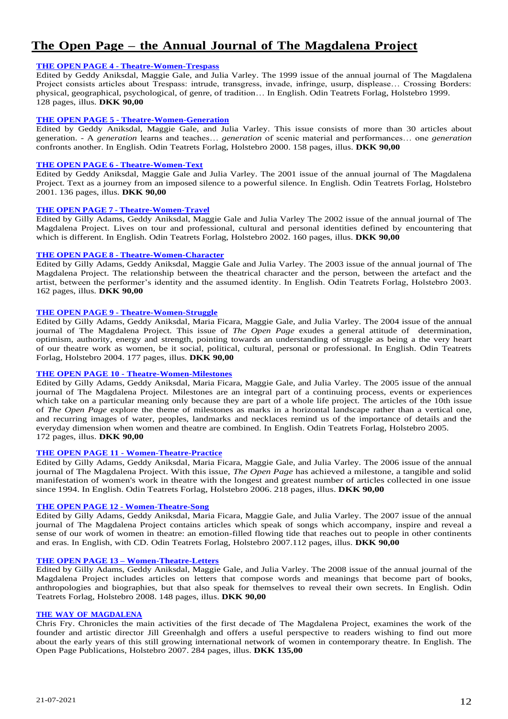# **The Open Page – the Annual Journal of The Magdalena Project**

# **THE OPEN PAGE 4 - [Theatre-Women-Trespass](https://odinteatret.dk/shop/books/the-open-page-4-theatre-women-trespass-english/)**

Edited by Geddy Aniksdal, Maggie Gale, and Julia Varley. The 1999 issue of the annual journal of The Magdalena Project consists articles about Trespass: intrude, transgress, invade, infringe, usurp, displease… Crossing Borders: physical, geographical, psychological, of genre, of tradition… In English. Odin Teatrets Forlag, Holstebro 1999. 128 pages, illus. **DKK 90,00**

# **THE OPEN PAGE 5 - [Theatre-Women-Generation](https://odinteatret.dk/shop/books/the-open-page-5-theatre-women-generation-english/)**

Edited by Geddy Aniksdal, Maggie Gale, and Julia Varley. This issue consists of more than 30 articles about generation. - A *generation* learns and teaches… *generation* of scenic material and performances… one *generation* confronts another. In English. Odin Teatrets Forlag, Holstebro 2000. 158 pages, illus. **DKK 90,00**

# **THE OPEN PAGE 6 - [Theatre-Women-Text](https://odinteatret.dk/shop/books/the-open-page-6-theatre-women-text-english/)**

Edited by Geddy Aniksdal, Maggie Gale and Julia Varley. The 2001 issue of the annual journal of The Magdalena Project. Text as a journey from an imposed silence to a powerful silence. In English. Odin Teatrets Forlag, Holstebro 2001. 136 pages, illus. **DKK 90,00**

# **THE OPEN PAGE 7 - [Theatre-Women-Travel](https://odinteatret.dk/shop/books/the-open-page-7-theatre-women-travel-english/)**

Edited by Gilly Adams, Geddy Aniksdal, Maggie Gale and Julia Varley The 2002 issue of the annual journal of The Magdalena Project. Lives on tour and professional, cultural and personal identities defined by encountering that which is different. In English. Odin Teatrets Forlag, Holstebro 2002. 160 pages, illus. **DKK 90,00**

# **THE OPEN PAGE 8 - [Theatre-Women-Character](https://odinteatret.dk/shop/books/the-open-page-8-theatre-women-character-in-english/)**

Edited by Gilly Adams, Geddy Aniksdal, Maggie Gale and Julia Varley. The 2003 issue of the annual journal of The Magdalena Project. The relationship between the theatrical character and the person, between the artefact and the artist, between the performer's identity and the assumed identity. In English. Odin Teatrets Forlag, Holstebro 2003. 162 pages, illus. **DKK 90,00**

# **THE OPEN PAGE 9 - [Theatre-Women-Struggle](https://odinteatret.dk/shop/books/the-open-page-9-theatre-women-struggle-in-english/)**

Edited by Gilly Adams, Geddy Aniksdal, Maria Ficara, Maggie Gale, and Julia Varley. The 2004 issue of the annual journal of The Magdalena Project. This issue of *The Open Page* exudes a general attitude of determination, optimism, authority, energy and strength, pointing towards an understanding of struggle as being a the very heart of our theatre work as women, be it social, political, cultural, personal or professional. In English. Odin Teatrets Forlag, Holstebro 2004. 177 pages, illus. **DKK 90,00**

# **THE OPEN PAGE 10 - [Theatre-Women-Milestones](https://odinteatret.dk/shop/books/the-open-page-10-theatre-women-milestones-in-english/)**

Edited by Gilly Adams, Geddy Aniksdal, Maria Ficara, Maggie Gale, and Julia Varley. The 2005 issue of the annual journal of The Magdalena Project. Milestones are an integral part of a continuing process, events or experiences which take on a particular meaning only because they are part of a whole life project. The articles of the 10th issue of *The Open Page* explore the theme of milestones as marks in a horizontal landscape rather than a vertical one, and recurring images of water, peoples, landmarks and necklaces remind us of the importance of details and the everyday dimension when women and theatre are combined. In English. Odin Teatrets Forlag, Holstebro 2005. 172 pages, illus. **DKK 90,00**

# **THE OPEN PAGE 11 - [Women-Theatre-Practice](https://odinteatret.dk/shop/books/the-open-page-11-women-theatre-practice-in-english/)**

Edited by Gilly Adams, Geddy Aniksdal, Maria Ficara, Maggie Gale, and Julia Varley. The 2006 issue of the annual journal of The Magdalena Project. With this issue, *The Open Page* has achieved a milestone, a tangible and solid manifestation of women's work in theatre with the longest and greatest number of articles collected in one issue since 1994. In English. Odin Teatrets Forlag, Holstebro 2006. 218 pages, illus. **DKK 90,00**

# **THE OPEN PAGE 12 - [Women-Theatre-Song](https://odinteatret.dk/shop/books/the-open-page-12-theatre-women-song-in-english/)**

Edited by Gilly Adams, Geddy Aniksdal, Maria Ficara, Maggie Gale, and Julia Varley. The 2007 issue of the annual journal of The Magdalena Project contains articles which speak of songs which accompany, inspire and reveal a sense of our work of women in theatre: an emotion-filled flowing tide that reaches out to people in other continents and eras. In English, with CD. Odin Teatrets Forlag, Holstebro 2007.112 pages, illus. **DKK 90,00**

# **THE OPEN PAGE 13 – [Women-Theatre-Letters](https://odinteatret.dk/shop/books/the-open-page-13-theatre-women-letters-in-english/)**

Edited by Gilly Adams, Geddy Aniksdal, Maggie Gale, and Julia Varley. The 2008 issue of the annual journal of the Magdalena Project includes articles on letters that compose words and meanings that become part of books, anthropologies and biographies, but that also speak for themselves to reveal their own secrets. In English. Odin Teatrets Forlag, Holstebro 2008. 148 pages, illus. **DKK 90,00**

# **THE WAY OF [MAGDALENA](https://odinteatret.dk/shop/books/the-way-of-magdalena-in-english/)**

Chris Fry. Chronicles the main activities of the first decade of The Magdalena Project, examines the work of the founder and artistic director Jill Greenhalgh and offers a useful perspective to readers wishing to find out more about the early years of this still growing international network of women in contemporary theatre. In English. The Open Page Publications, Holstebro 2007. 284 pages, illus. **DKK 135,00**